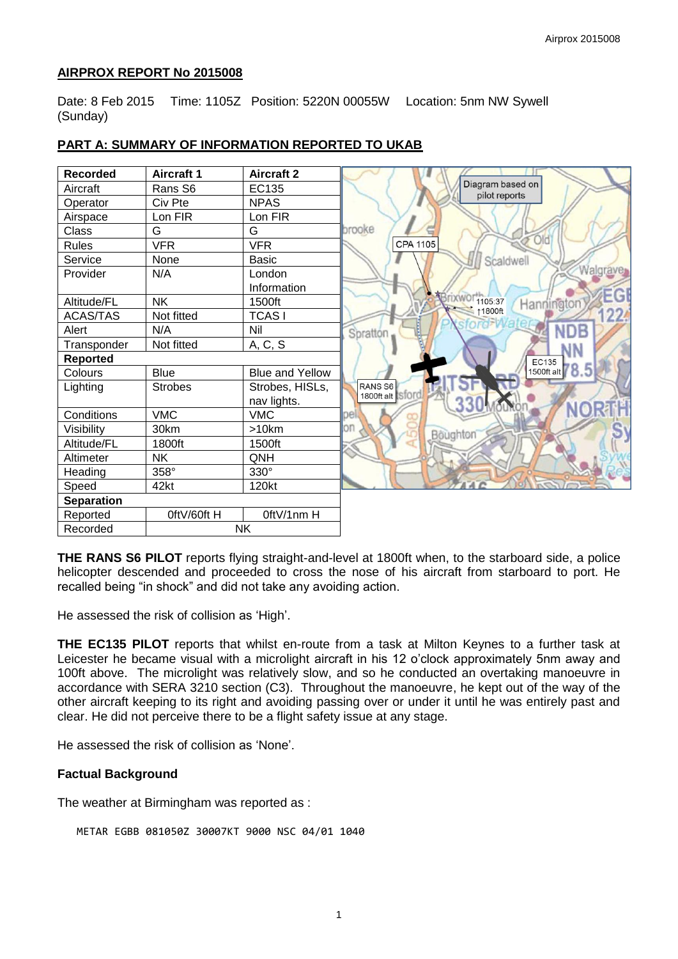### **AIRPROX REPORT No 2015008**

Date: 8 Feb 2015 Time: 1105Z Position: 5220N 00055W Location: 5nm NW Sywell (Sunday)

| <b>Recorded</b>   | <b>Aircraft 1</b>  | <b>Aircraft 2</b>      |
|-------------------|--------------------|------------------------|
| Aircraft          | Rans <sub>S6</sub> | EC135                  |
| Operator          | Civ Pte            | <b>NPAS</b>            |
| Airspace          | Lon FIR            | Lon FIR                |
| Class             | G                  | G                      |
| <b>Rules</b>      | <b>VFR</b>         | <b>VFR</b>             |
| Service           | None               | <b>Basic</b>           |
| Provider          | N/A                | London                 |
|                   |                    | Information            |
| Altitude/FL       | <b>NK</b>          | 1500ft                 |
| <b>ACAS/TAS</b>   | Not fitted         | <b>TCASI</b>           |
| Alert             | N/A                | Nil                    |
| Transponder       | Not fitted         | A, C, S                |
| Reported          |                    |                        |
| Colours           | <b>Blue</b>        | <b>Blue and Yellow</b> |
| Lighting          | <b>Strobes</b>     | Strobes, HISLs,        |
|                   |                    | nav lights.            |
| Conditions        | <b>VMC</b>         | <b>VMC</b>             |
| Visibility        | 30km               | >10km                  |
| Altitude/FL       | 1800ft             | 1500ft                 |
| Altimeter         | <b>NK</b>          | QNH                    |
| Heading           | 358°               | 330°                   |
| Speed             | 42kt               | 120kt                  |
| <b>Separation</b> |                    |                        |
| Reported          | OftV/60ft H        | OftV/1nm H             |
| Recorded          |                    | <b>NK</b>              |

# **PART A: SUMMARY OF INFORMATION REPORTED TO UKAB**

**THE RANS S6 PILOT** reports flying straight-and-level at 1800ft when, to the starboard side, a police helicopter descended and proceeded to cross the nose of his aircraft from starboard to port. He recalled being "in shock" and did not take any avoiding action.

He assessed the risk of collision as 'High'.

**THE EC135 PILOT** reports that whilst en-route from a task at Milton Keynes to a further task at Leicester he became visual with a microlight aircraft in his 12 o'clock approximately 5nm away and 100ft above. The microlight was relatively slow, and so he conducted an overtaking manoeuvre in accordance with SERA 3210 section (C3). Throughout the manoeuvre, he kept out of the way of the other aircraft keeping to its right and avoiding passing over or under it until he was entirely past and clear. He did not perceive there to be a flight safety issue at any stage.

He assessed the risk of collision as 'None'.

#### **Factual Background**

The weather at Birmingham was reported as :

METAR EGBB 081050Z 30007KT 9000 NSC 04/01 1040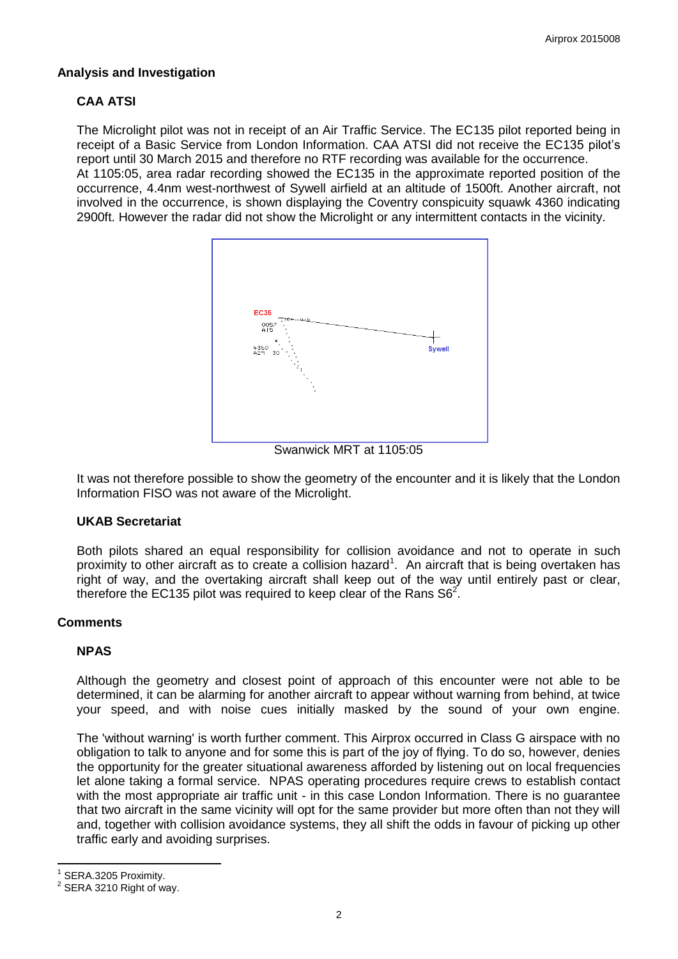# **Analysis and Investigation**

# **CAA ATSI**

The Microlight pilot was not in receipt of an Air Traffic Service. The EC135 pilot reported being in receipt of a Basic Service from London Information. CAA ATSI did not receive the EC135 pilot's report until 30 March 2015 and therefore no RTF recording was available for the occurrence. At 1105:05, area radar recording showed the EC135 in the approximate reported position of the occurrence, 4.4nm west-northwest of Sywell airfield at an altitude of 1500ft. Another aircraft, not involved in the occurrence, is shown displaying the Coventry conspicuity squawk 4360 indicating 2900ft. However the radar did not show the Microlight or any intermittent contacts in the vicinity.



Swanwick MRT at 1105:05

It was not therefore possible to show the geometry of the encounter and it is likely that the London Information FISO was not aware of the Microlight.

#### **UKAB Secretariat**

Both pilots shared an equal responsibility for collision avoidance and not to operate in such proximity to other aircraft as to create a collision hazard<sup>1</sup>. An aircraft that is being overtaken has right of way, and the overtaking aircraft shall keep out of the way until entirely past or clear, therefore the EC135 pilot was required to keep clear of the Rans  $S6<sup>2</sup>$ .

# **Comments**

#### **NPAS**

Although the geometry and closest point of approach of this encounter were not able to be determined, it can be alarming for another aircraft to appear without warning from behind, at twice your speed, and with noise cues initially masked by the sound of your own engine.

The 'without warning' is worth further comment. This Airprox occurred in Class G airspace with no obligation to talk to anyone and for some this is part of the joy of flying. To do so, however, denies the opportunity for the greater situational awareness afforded by listening out on local frequencies let alone taking a formal service. NPAS operating procedures require crews to establish contact with the most appropriate air traffic unit - in this case London Information. There is no quarantee that two aircraft in the same vicinity will opt for the same provider but more often than not they will and, together with collision avoidance systems, they all shift the odds in favour of picking up other traffic early and avoiding surprises.

 $\overline{\phantom{a}}$ 1 SERA.3205 Proximity.

<sup>2</sup> SERA 3210 Right of way.